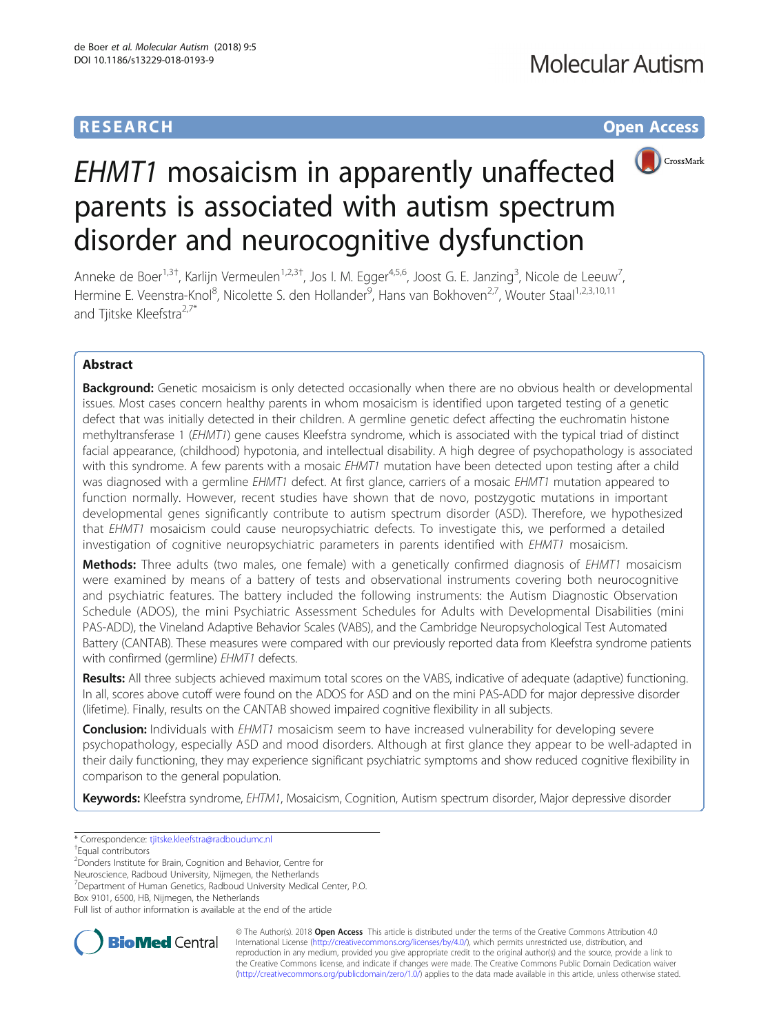# **RESEARCH CHE Open Access**



# EHMT1 mosaicism in apparently unaffected parents is associated with autism spectrum disorder and neurocognitive dysfunction

Anneke de Boer<sup>1,3†</sup>, Karlijn Vermeulen<sup>1,2,3†</sup>, Jos I. M. Egger<sup>4,5,6</sup>, Joost G. E. Janzing<sup>3</sup>, Nicole de Leeuw<sup>7</sup> , Hermine E. Veenstra-Knol<sup>8</sup>, Nicolette S. den Hollander<sup>9</sup>, Hans van Bokhoven<sup>2,7</sup>, Wouter Staal<sup>1,2,3,10,11</sup> and Tjitske Kleefstra<sup>2,7\*</sup>

# Abstract

**Background:** Genetic mosaicism is only detected occasionally when there are no obvious health or developmental issues. Most cases concern healthy parents in whom mosaicism is identified upon targeted testing of a genetic defect that was initially detected in their children. A germline genetic defect affecting the euchromatin histone methyltransferase 1 (EHMT1) gene causes Kleefstra syndrome, which is associated with the typical triad of distinct facial appearance, (childhood) hypotonia, and intellectual disability. A high degree of psychopathology is associated with this syndrome. A few parents with a mosaic EHMT1 mutation have been detected upon testing after a child was diagnosed with a germline EHMT1 defect. At first glance, carriers of a mosaic EHMT1 mutation appeared to function normally. However, recent studies have shown that de novo, postzygotic mutations in important developmental genes significantly contribute to autism spectrum disorder (ASD). Therefore, we hypothesized that EHMT1 mosaicism could cause neuropsychiatric defects. To investigate this, we performed a detailed investigation of cognitive neuropsychiatric parameters in parents identified with EHMT1 mosaicism.

Methods: Three adults (two males, one female) with a genetically confirmed diagnosis of EHMT1 mosaicism were examined by means of a battery of tests and observational instruments covering both neurocognitive and psychiatric features. The battery included the following instruments: the Autism Diagnostic Observation Schedule (ADOS), the mini Psychiatric Assessment Schedules for Adults with Developmental Disabilities (mini PAS-ADD), the Vineland Adaptive Behavior Scales (VABS), and the Cambridge Neuropsychological Test Automated Battery (CANTAB). These measures were compared with our previously reported data from Kleefstra syndrome patients with confirmed (germline) EHMT1 defects.

Results: All three subjects achieved maximum total scores on the VABS, indicative of adequate (adaptive) functioning. In all, scores above cutoff were found on the ADOS for ASD and on the mini PAS-ADD for major depressive disorder (lifetime). Finally, results on the CANTAB showed impaired cognitive flexibility in all subjects.

**Conclusion:** Individuals with *EHMT1* mosaicism seem to have increased vulnerability for developing severe psychopathology, especially ASD and mood disorders. Although at first glance they appear to be well-adapted in their daily functioning, they may experience significant psychiatric symptoms and show reduced cognitive flexibility in comparison to the general population.

Keywords: Kleefstra syndrome, EHTM1, Mosaicism, Cognition, Autism spectrum disorder, Major depressive disorder

7 Department of Human Genetics, Radboud University Medical Center, P.O.

Full list of author information is available at the end of the article



© The Author(s). 2018 Open Access This article is distributed under the terms of the Creative Commons Attribution 4.0 International License [\(http://creativecommons.org/licenses/by/4.0/](http://creativecommons.org/licenses/by/4.0/)), which permits unrestricted use, distribution, and reproduction in any medium, provided you give appropriate credit to the original author(s) and the source, provide a link to the Creative Commons license, and indicate if changes were made. The Creative Commons Public Domain Dedication waiver [\(http://creativecommons.org/publicdomain/zero/1.0/](http://creativecommons.org/publicdomain/zero/1.0/)) applies to the data made available in this article, unless otherwise stated.

<sup>\*</sup> Correspondence: [tjitske.kleefstra@radboudumc.nl](mailto:tjitske.kleefstra@radboudumc.nl) †

Equal contributors

<sup>2</sup> Donders Institute for Brain, Cognition and Behavior, Centre for

Neuroscience, Radboud University, Nijmegen, the Netherlands

Box 9101, 6500, HB, Nijmegen, the Netherlands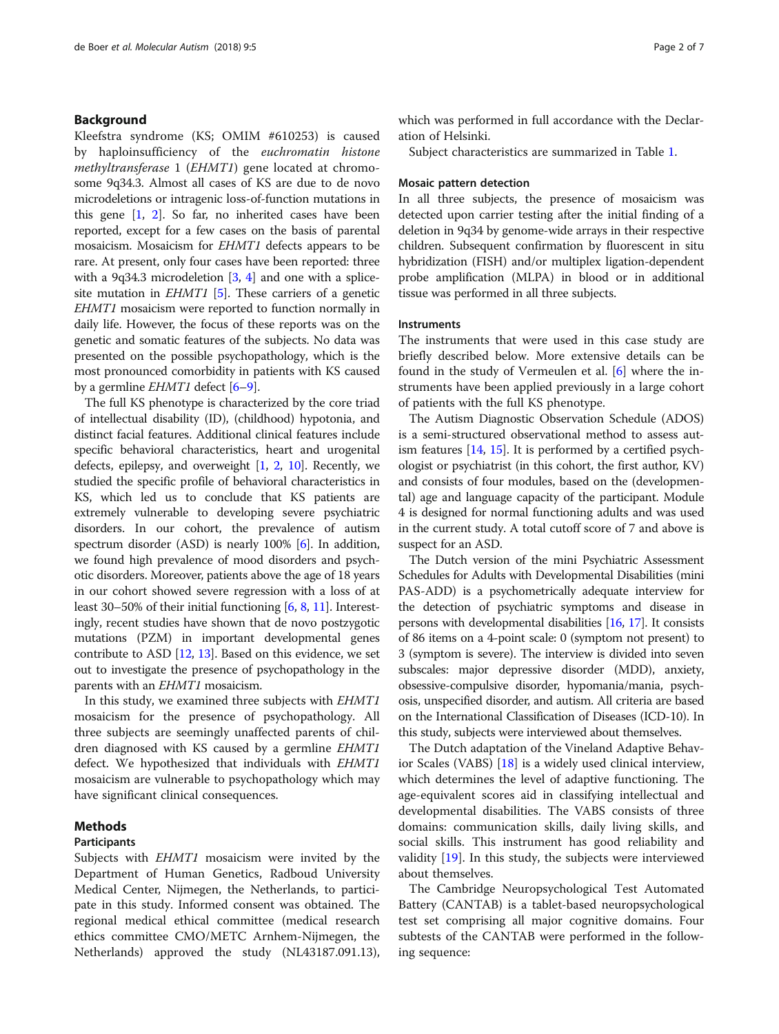# Background

Kleefstra syndrome (KS; OMIM #610253) is caused by haploinsufficiency of the euchromatin histone methyltransferase 1 (EHMT1) gene located at chromosome 9q34.3. Almost all cases of KS are due to de novo microdeletions or intragenic loss-of-function mutations in this gene  $\left[1, 2\right]$  $\left[1, 2\right]$  $\left[1, 2\right]$  $\left[1, 2\right]$  $\left[1, 2\right]$ . So far, no inherited cases have been reported, except for a few cases on the basis of parental mosaicism. Mosaicism for EHMT1 defects appears to be rare. At present, only four cases have been reported: three with a 9q34.3 microdeletion [[3](#page-6-0), [4\]](#page-6-0) and one with a splicesite mutation in  $EHMT1$  [\[5\]](#page-6-0). These carriers of a genetic EHMT1 mosaicism were reported to function normally in daily life. However, the focus of these reports was on the genetic and somatic features of the subjects. No data was presented on the possible psychopathology, which is the most pronounced comorbidity in patients with KS caused by a germline EHMT1 defect [\[6](#page-6-0)–[9\]](#page-6-0).

The full KS phenotype is characterized by the core triad of intellectual disability (ID), (childhood) hypotonia, and distinct facial features. Additional clinical features include specific behavioral characteristics, heart and urogenital defects, epilepsy, and overweight  $[1, 2, 10]$  $[1, 2, 10]$  $[1, 2, 10]$  $[1, 2, 10]$  $[1, 2, 10]$ . Recently, we studied the specific profile of behavioral characteristics in KS, which led us to conclude that KS patients are extremely vulnerable to developing severe psychiatric disorders. In our cohort, the prevalence of autism spectrum disorder (ASD) is nearly 100% [\[6](#page-6-0)]. In addition, we found high prevalence of mood disorders and psychotic disorders. Moreover, patients above the age of 18 years in our cohort showed severe regression with a loss of at least 30–50% of their initial functioning [\[6](#page-6-0), [8,](#page-6-0) [11\]](#page-6-0). Interestingly, recent studies have shown that de novo postzygotic mutations (PZM) in important developmental genes contribute to ASD [[12](#page-6-0), [13](#page-6-0)]. Based on this evidence, we set out to investigate the presence of psychopathology in the parents with an EHMT1 mosaicism.

In this study, we examined three subjects with EHMT1 mosaicism for the presence of psychopathology. All three subjects are seemingly unaffected parents of children diagnosed with KS caused by a germline EHMT1 defect. We hypothesized that individuals with EHMT1 mosaicism are vulnerable to psychopathology which may have significant clinical consequences.

## Methods

# Participants

Subjects with EHMT1 mosaicism were invited by the Department of Human Genetics, Radboud University Medical Center, Nijmegen, the Netherlands, to participate in this study. Informed consent was obtained. The regional medical ethical committee (medical research ethics committee CMO/METC Arnhem-Nijmegen, the Netherlands) approved the study (NL43187.091.13), which was performed in full accordance with the Declaration of Helsinki.

Subject characteristics are summarized in Table [1.](#page-2-0)

# Mosaic pattern detection

In all three subjects, the presence of mosaicism was detected upon carrier testing after the initial finding of a deletion in 9q34 by genome-wide arrays in their respective children. Subsequent confirmation by fluorescent in situ hybridization (FISH) and/or multiplex ligation-dependent probe amplification (MLPA) in blood or in additional tissue was performed in all three subjects.

# **Instruments**

The instruments that were used in this case study are briefly described below. More extensive details can be found in the study of Vermeulen et al. [\[6](#page-6-0)] where the instruments have been applied previously in a large cohort of patients with the full KS phenotype.

The Autism Diagnostic Observation Schedule (ADOS) is a semi-structured observational method to assess autism features  $[14, 15]$  $[14, 15]$  $[14, 15]$  $[14, 15]$  $[14, 15]$ . It is performed by a certified psychologist or psychiatrist (in this cohort, the first author, KV) and consists of four modules, based on the (developmental) age and language capacity of the participant. Module 4 is designed for normal functioning adults and was used in the current study. A total cutoff score of 7 and above is suspect for an ASD.

The Dutch version of the mini Psychiatric Assessment Schedules for Adults with Developmental Disabilities (mini PAS-ADD) is a psychometrically adequate interview for the detection of psychiatric symptoms and disease in persons with developmental disabilities [\[16,](#page-6-0) [17](#page-6-0)]. It consists of 86 items on a 4-point scale: 0 (symptom not present) to 3 (symptom is severe). The interview is divided into seven subscales: major depressive disorder (MDD), anxiety, obsessive-compulsive disorder, hypomania/mania, psychosis, unspecified disorder, and autism. All criteria are based on the International Classification of Diseases (ICD-10). In this study, subjects were interviewed about themselves.

The Dutch adaptation of the Vineland Adaptive Behavior Scales (VABS) [\[18](#page-6-0)] is a widely used clinical interview, which determines the level of adaptive functioning. The age-equivalent scores aid in classifying intellectual and developmental disabilities. The VABS consists of three domains: communication skills, daily living skills, and social skills. This instrument has good reliability and validity [[19](#page-6-0)]. In this study, the subjects were interviewed about themselves.

The Cambridge Neuropsychological Test Automated Battery (CANTAB) is a tablet-based neuropsychological test set comprising all major cognitive domains. Four subtests of the CANTAB were performed in the following sequence: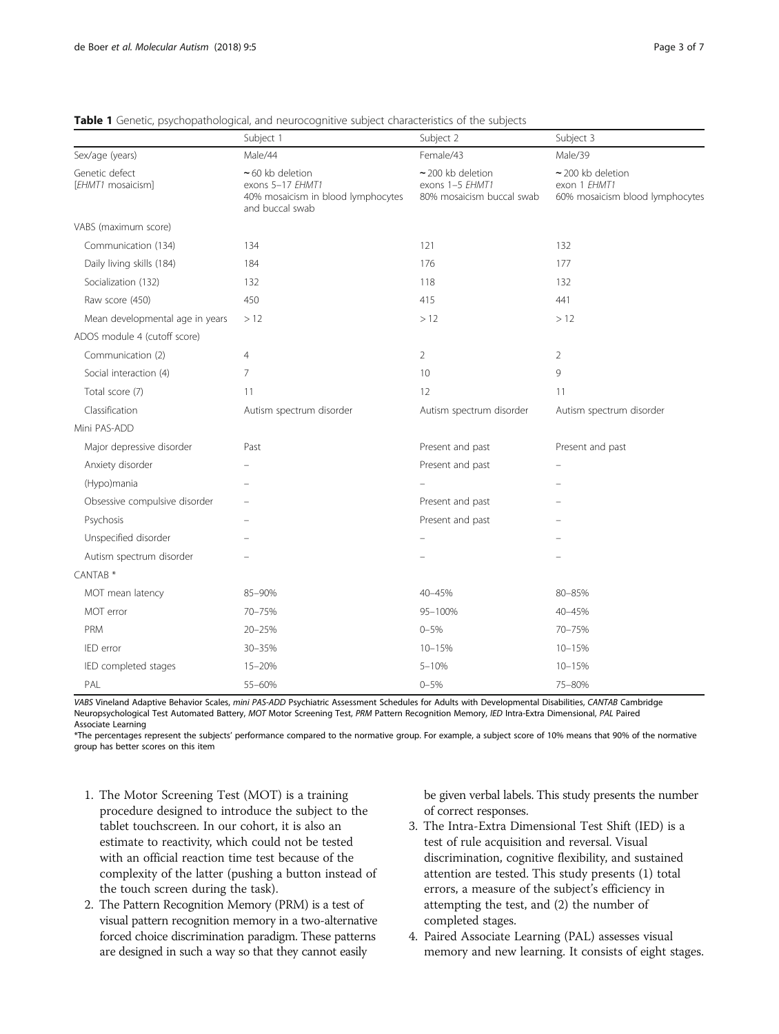|                                     | Subject 1                                                                                        | Subject 2                                                              | Subject 3                                                                 |
|-------------------------------------|--------------------------------------------------------------------------------------------------|------------------------------------------------------------------------|---------------------------------------------------------------------------|
| Sex/age (years)                     | Male/44                                                                                          | Female/43                                                              | Male/39                                                                   |
| Genetic defect<br>[EHMT1 mosaicism] | $~1$ 60 kb deletion<br>exons 5-17 EHMT1<br>40% mosaicism in blood lymphocytes<br>and buccal swab | $\sim$ 200 kb deletion<br>exons 1-5 EHMT1<br>80% mosaicism buccal swab | $\sim$ 200 kb deletion<br>exon 1 EHMT1<br>60% mosaicism blood lymphocytes |
| VABS (maximum score)                |                                                                                                  |                                                                        |                                                                           |
| Communication (134)                 | 134                                                                                              | 121                                                                    | 132                                                                       |
| Daily living skills (184)           | 184                                                                                              | 176                                                                    | 177                                                                       |
| Socialization (132)                 | 132                                                                                              | 118                                                                    | 132                                                                       |
| Raw score (450)                     | 450                                                                                              | 415                                                                    | 441                                                                       |
| Mean developmental age in years     | >12                                                                                              | >12                                                                    | >12                                                                       |
| ADOS module 4 (cutoff score)        |                                                                                                  |                                                                        |                                                                           |
| Communication (2)                   | 4                                                                                                | $\overline{2}$                                                         | $\overline{2}$                                                            |
| Social interaction (4)              | 7                                                                                                | 10                                                                     | 9                                                                         |
| Total score (7)                     | 11                                                                                               | 12                                                                     | 11                                                                        |
| Classification                      | Autism spectrum disorder                                                                         | Autism spectrum disorder                                               | Autism spectrum disorder                                                  |
| Mini PAS-ADD                        |                                                                                                  |                                                                        |                                                                           |
| Major depressive disorder           | Past                                                                                             | Present and past                                                       | Present and past                                                          |
| Anxiety disorder                    |                                                                                                  | Present and past                                                       |                                                                           |
| (Hypo)mania                         |                                                                                                  |                                                                        |                                                                           |
| Obsessive compulsive disorder       |                                                                                                  | Present and past                                                       |                                                                           |
| Psychosis                           |                                                                                                  | Present and past                                                       |                                                                           |
| Unspecified disorder                |                                                                                                  |                                                                        |                                                                           |
| Autism spectrum disorder            |                                                                                                  |                                                                        |                                                                           |
| CANTAB <sup>*</sup>                 |                                                                                                  |                                                                        |                                                                           |
| MOT mean latency                    | 85-90%                                                                                           | 40-45%                                                                 | 80-85%                                                                    |
| MOT error                           | 70-75%                                                                                           | 95-100%                                                                | 40-45%                                                                    |
| PRM                                 | $20 - 25%$                                                                                       | $0 - 5%$                                                               | 70-75%                                                                    |
| IED error                           | 30-35%                                                                                           | 10-15%                                                                 | 10-15%                                                                    |
| IED completed stages                | $15 - 20%$                                                                                       | $5 - 10%$                                                              | 10-15%                                                                    |
| PAL                                 | 55-60%                                                                                           | $0 - 5%$                                                               | 75-80%                                                                    |

<span id="page-2-0"></span>Table 1 Genetic, psychopathological, and neurocognitive subject characteristics of the subjects

VABS Vineland Adaptive Behavior Scales, mini PAS-ADD Psychiatric Assessment Schedules for Adults with Developmental Disabilities, CANTAB Cambridge Neuropsychological Test Automated Battery, MOT Motor Screening Test, PRM Pattern Recognition Memory, IED Intra-Extra Dimensional, PAL Paired Associate Learning

\*The percentages represent the subjects' performance compared to the normative group. For example, a subject score of 10% means that 90% of the normative group has better scores on this item

- 1. The Motor Screening Test (MOT) is a training procedure designed to introduce the subject to the tablet touchscreen. In our cohort, it is also an estimate to reactivity, which could not be tested with an official reaction time test because of the complexity of the latter (pushing a button instead of the touch screen during the task).
- 2. The Pattern Recognition Memory (PRM) is a test of visual pattern recognition memory in a two-alternative forced choice discrimination paradigm. These patterns are designed in such a way so that they cannot easily

be given verbal labels. This study presents the number of correct responses.

- 3. The Intra-Extra Dimensional Test Shift (IED) is a test of rule acquisition and reversal. Visual discrimination, cognitive flexibility, and sustained attention are tested. This study presents (1) total errors, a measure of the subject's efficiency in attempting the test, and (2) the number of completed stages.
- 4. Paired Associate Learning (PAL) assesses visual memory and new learning. It consists of eight stages.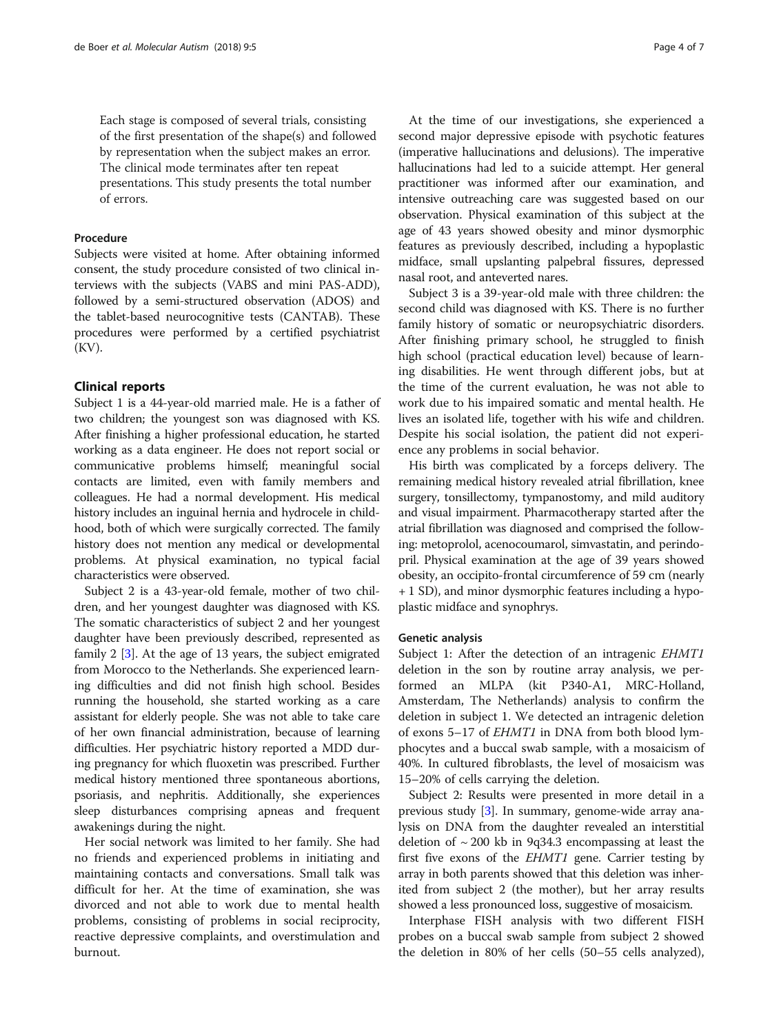Each stage is composed of several trials, consisting of the first presentation of the shape(s) and followed by representation when the subject makes an error. The clinical mode terminates after ten repeat presentations. This study presents the total number of errors.

# Procedure

Subjects were visited at home. After obtaining informed consent, the study procedure consisted of two clinical interviews with the subjects (VABS and mini PAS-ADD), followed by a semi-structured observation (ADOS) and the tablet-based neurocognitive tests (CANTAB). These procedures were performed by a certified psychiatrist (KV).

# Clinical reports

Subject 1 is a 44-year-old married male. He is a father of two children; the youngest son was diagnosed with KS. After finishing a higher professional education, he started working as a data engineer. He does not report social or communicative problems himself; meaningful social contacts are limited, even with family members and colleagues. He had a normal development. His medical history includes an inguinal hernia and hydrocele in childhood, both of which were surgically corrected. The family history does not mention any medical or developmental problems. At physical examination, no typical facial characteristics were observed.

Subject 2 is a 43-year-old female, mother of two children, and her youngest daughter was diagnosed with KS. The somatic characteristics of subject 2 and her youngest daughter have been previously described, represented as family  $2 \times 3$ . At the age of 13 years, the subject emigrated from Morocco to the Netherlands. She experienced learning difficulties and did not finish high school. Besides running the household, she started working as a care assistant for elderly people. She was not able to take care of her own financial administration, because of learning difficulties. Her psychiatric history reported a MDD during pregnancy for which fluoxetin was prescribed. Further medical history mentioned three spontaneous abortions, psoriasis, and nephritis. Additionally, she experiences sleep disturbances comprising apneas and frequent awakenings during the night.

Her social network was limited to her family. She had no friends and experienced problems in initiating and maintaining contacts and conversations. Small talk was difficult for her. At the time of examination, she was divorced and not able to work due to mental health problems, consisting of problems in social reciprocity, reactive depressive complaints, and overstimulation and burnout.

At the time of our investigations, she experienced a second major depressive episode with psychotic features (imperative hallucinations and delusions). The imperative hallucinations had led to a suicide attempt. Her general practitioner was informed after our examination, and intensive outreaching care was suggested based on our observation. Physical examination of this subject at the age of 43 years showed obesity and minor dysmorphic features as previously described, including a hypoplastic midface, small upslanting palpebral fissures, depressed nasal root, and anteverted nares.

Subject 3 is a 39-year-old male with three children: the second child was diagnosed with KS. There is no further family history of somatic or neuropsychiatric disorders. After finishing primary school, he struggled to finish high school (practical education level) because of learning disabilities. He went through different jobs, but at the time of the current evaluation, he was not able to work due to his impaired somatic and mental health. He lives an isolated life, together with his wife and children. Despite his social isolation, the patient did not experience any problems in social behavior.

His birth was complicated by a forceps delivery. The remaining medical history revealed atrial fibrillation, knee surgery, tonsillectomy, tympanostomy, and mild auditory and visual impairment. Pharmacotherapy started after the atrial fibrillation was diagnosed and comprised the following: metoprolol, acenocoumarol, simvastatin, and perindopril. Physical examination at the age of 39 years showed obesity, an occipito-frontal circumference of 59 cm (nearly + 1 SD), and minor dysmorphic features including a hypoplastic midface and synophrys.

## Genetic analysis

Subject 1: After the detection of an intragenic EHMT1 deletion in the son by routine array analysis, we performed an MLPA (kit P340-A1, MRC-Holland, Amsterdam, The Netherlands) analysis to confirm the deletion in subject 1. We detected an intragenic deletion of exons 5–17 of EHMT1 in DNA from both blood lymphocytes and a buccal swab sample, with a mosaicism of 40%. In cultured fibroblasts, the level of mosaicism was 15–20% of cells carrying the deletion.

Subject 2: Results were presented in more detail in a previous study [[3](#page-6-0)]. In summary, genome-wide array analysis on DNA from the daughter revealed an interstitial deletion of  $\sim$  200 kb in 9q34.3 encompassing at least the first five exons of the EHMT1 gene. Carrier testing by array in both parents showed that this deletion was inherited from subject 2 (the mother), but her array results showed a less pronounced loss, suggestive of mosaicism.

Interphase FISH analysis with two different FISH probes on a buccal swab sample from subject 2 showed the deletion in 80% of her cells (50–55 cells analyzed),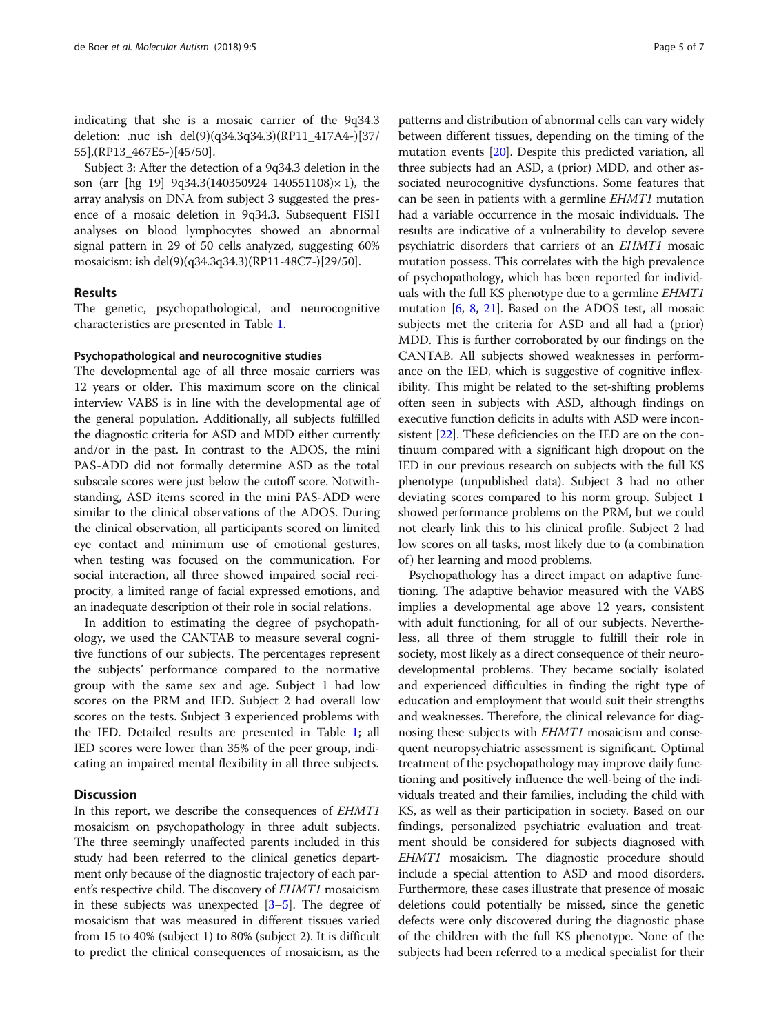indicating that she is a mosaic carrier of the 9q34.3 deletion: .nuc ish del(9)(q34.3q34.3)(RP11\_417A4-)[37/ 55],(RP13\_467E5-)[45/50].

Subject 3: After the detection of a 9q34.3 deletion in the son (arr [hg 19] 9q34.3(140350924 140551108)× 1), the array analysis on DNA from subject 3 suggested the presence of a mosaic deletion in 9q34.3. Subsequent FISH analyses on blood lymphocytes showed an abnormal signal pattern in 29 of 50 cells analyzed, suggesting 60% mosaicism: ish del(9)(q34.3q34.3)(RP11-48C7-)[29/50].

# Results

The genetic, psychopathological, and neurocognitive characteristics are presented in Table [1.](#page-2-0)

# Psychopathological and neurocognitive studies

The developmental age of all three mosaic carriers was 12 years or older. This maximum score on the clinical interview VABS is in line with the developmental age of the general population. Additionally, all subjects fulfilled the diagnostic criteria for ASD and MDD either currently and/or in the past. In contrast to the ADOS, the mini PAS-ADD did not formally determine ASD as the total subscale scores were just below the cutoff score. Notwithstanding, ASD items scored in the mini PAS-ADD were similar to the clinical observations of the ADOS. During the clinical observation, all participants scored on limited eye contact and minimum use of emotional gestures, when testing was focused on the communication. For social interaction, all three showed impaired social reciprocity, a limited range of facial expressed emotions, and an inadequate description of their role in social relations.

In addition to estimating the degree of psychopathology, we used the CANTAB to measure several cognitive functions of our subjects. The percentages represent the subjects' performance compared to the normative group with the same sex and age. Subject 1 had low scores on the PRM and IED. Subject 2 had overall low scores on the tests. Subject 3 experienced problems with the IED. Detailed results are presented in Table [1](#page-2-0); all IED scores were lower than 35% of the peer group, indicating an impaired mental flexibility in all three subjects.

## **Discussion**

In this report, we describe the consequences of EHMT1 mosaicism on psychopathology in three adult subjects. The three seemingly unaffected parents included in this study had been referred to the clinical genetics department only because of the diagnostic trajectory of each parent's respective child. The discovery of EHMT1 mosaicism in these subjects was unexpected [\[3](#page-6-0)–[5\]](#page-6-0). The degree of mosaicism that was measured in different tissues varied from 15 to 40% (subject 1) to 80% (subject 2). It is difficult to predict the clinical consequences of mosaicism, as the patterns and distribution of abnormal cells can vary widely between different tissues, depending on the timing of the mutation events [\[20\]](#page-6-0). Despite this predicted variation, all three subjects had an ASD, a (prior) MDD, and other associated neurocognitive dysfunctions. Some features that can be seen in patients with a germline EHMT1 mutation had a variable occurrence in the mosaic individuals. The results are indicative of a vulnerability to develop severe psychiatric disorders that carriers of an EHMT1 mosaic mutation possess. This correlates with the high prevalence of psychopathology, which has been reported for individuals with the full KS phenotype due to a germline EHMT1 mutation [\[6](#page-6-0), [8,](#page-6-0) [21\]](#page-6-0). Based on the ADOS test, all mosaic subjects met the criteria for ASD and all had a (prior) MDD. This is further corroborated by our findings on the CANTAB. All subjects showed weaknesses in performance on the IED, which is suggestive of cognitive inflexibility. This might be related to the set-shifting problems often seen in subjects with ASD, although findings on executive function deficits in adults with ASD were incon-sistent [\[22\]](#page-6-0). These deficiencies on the IED are on the continuum compared with a significant high dropout on the IED in our previous research on subjects with the full KS phenotype (unpublished data). Subject 3 had no other deviating scores compared to his norm group. Subject 1 showed performance problems on the PRM, but we could not clearly link this to his clinical profile. Subject 2 had low scores on all tasks, most likely due to (a combination of ) her learning and mood problems.

Psychopathology has a direct impact on adaptive functioning. The adaptive behavior measured with the VABS implies a developmental age above 12 years, consistent with adult functioning, for all of our subjects. Nevertheless, all three of them struggle to fulfill their role in society, most likely as a direct consequence of their neurodevelopmental problems. They became socially isolated and experienced difficulties in finding the right type of education and employment that would suit their strengths and weaknesses. Therefore, the clinical relevance for diagnosing these subjects with EHMT1 mosaicism and consequent neuropsychiatric assessment is significant. Optimal treatment of the psychopathology may improve daily functioning and positively influence the well-being of the individuals treated and their families, including the child with KS, as well as their participation in society. Based on our findings, personalized psychiatric evaluation and treatment should be considered for subjects diagnosed with EHMT1 mosaicism. The diagnostic procedure should include a special attention to ASD and mood disorders. Furthermore, these cases illustrate that presence of mosaic deletions could potentially be missed, since the genetic defects were only discovered during the diagnostic phase of the children with the full KS phenotype. None of the subjects had been referred to a medical specialist for their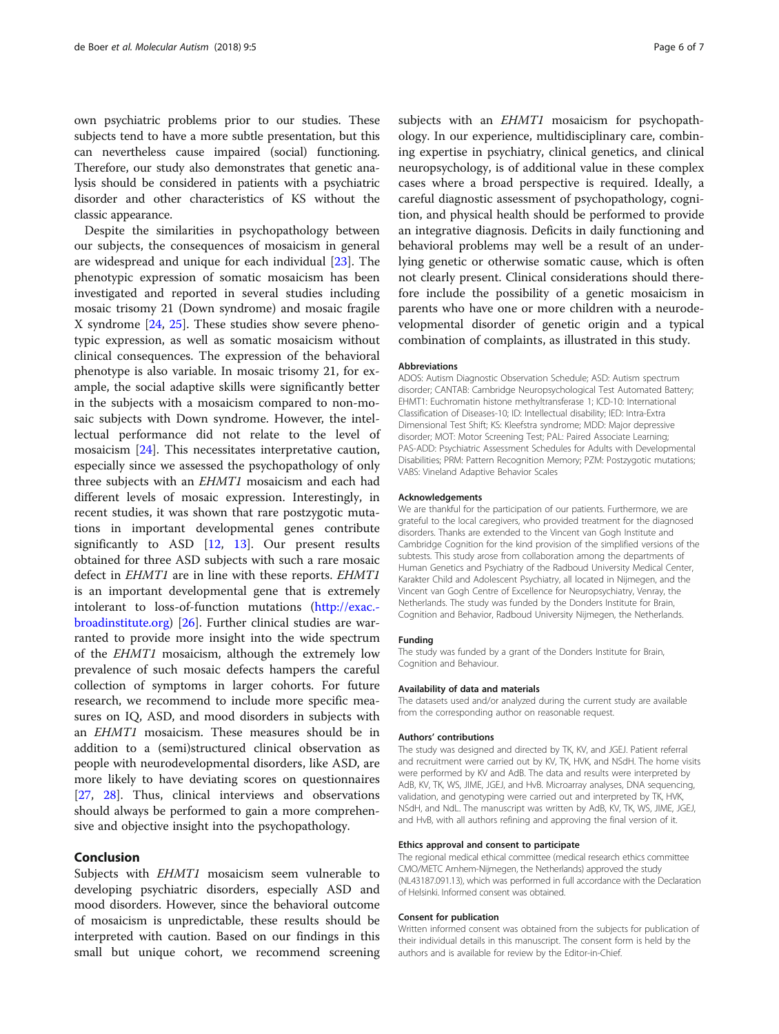own psychiatric problems prior to our studies. These subjects tend to have a more subtle presentation, but this can nevertheless cause impaired (social) functioning. Therefore, our study also demonstrates that genetic analysis should be considered in patients with a psychiatric disorder and other characteristics of KS without the classic appearance.

Despite the similarities in psychopathology between our subjects, the consequences of mosaicism in general are widespread and unique for each individual [[23\]](#page-6-0). The phenotypic expression of somatic mosaicism has been investigated and reported in several studies including mosaic trisomy 21 (Down syndrome) and mosaic fragile X syndrome [[24,](#page-6-0) [25](#page-6-0)]. These studies show severe phenotypic expression, as well as somatic mosaicism without clinical consequences. The expression of the behavioral phenotype is also variable. In mosaic trisomy 21, for example, the social adaptive skills were significantly better in the subjects with a mosaicism compared to non-mosaic subjects with Down syndrome. However, the intellectual performance did not relate to the level of mosaicism [[24\]](#page-6-0). This necessitates interpretative caution, especially since we assessed the psychopathology of only three subjects with an EHMT1 mosaicism and each had different levels of mosaic expression. Interestingly, in recent studies, it was shown that rare postzygotic mutations in important developmental genes contribute significantly to ASD [\[12](#page-6-0), [13\]](#page-6-0). Our present results obtained for three ASD subjects with such a rare mosaic defect in EHMT1 are in line with these reports. EHMT1 is an important developmental gene that is extremely intolerant to loss-of-function mutations ([http://exac.](http://exac.broadinstitute.org) [broadinstitute.org](http://exac.broadinstitute.org)) [\[26](#page-6-0)]. Further clinical studies are warranted to provide more insight into the wide spectrum of the EHMT1 mosaicism, although the extremely low prevalence of such mosaic defects hampers the careful collection of symptoms in larger cohorts. For future research, we recommend to include more specific measures on IQ, ASD, and mood disorders in subjects with an EHMT1 mosaicism. These measures should be in addition to a (semi)structured clinical observation as people with neurodevelopmental disorders, like ASD, are more likely to have deviating scores on questionnaires [[27,](#page-6-0) [28\]](#page-6-0). Thus, clinical interviews and observations should always be performed to gain a more comprehensive and objective insight into the psychopathology.

# Conclusion

Subjects with EHMT1 mosaicism seem vulnerable to developing psychiatric disorders, especially ASD and mood disorders. However, since the behavioral outcome of mosaicism is unpredictable, these results should be interpreted with caution. Based on our findings in this small but unique cohort, we recommend screening

subjects with an EHMT1 mosaicism for psychopathology. In our experience, multidisciplinary care, combining expertise in psychiatry, clinical genetics, and clinical neuropsychology, is of additional value in these complex cases where a broad perspective is required. Ideally, a careful diagnostic assessment of psychopathology, cognition, and physical health should be performed to provide an integrative diagnosis. Deficits in daily functioning and behavioral problems may well be a result of an underlying genetic or otherwise somatic cause, which is often not clearly present. Clinical considerations should therefore include the possibility of a genetic mosaicism in parents who have one or more children with a neurodevelopmental disorder of genetic origin and a typical combination of complaints, as illustrated in this study.

#### Abbreviations

ADOS: Autism Diagnostic Observation Schedule; ASD: Autism spectrum disorder; CANTAB: Cambridge Neuropsychological Test Automated Battery; EHMT1: Euchromatin histone methyltransferase 1; ICD-10: International Classification of Diseases-10; ID: Intellectual disability; IED: Intra-Extra Dimensional Test Shift; KS: Kleefstra syndrome; MDD: Major depressive disorder; MOT: Motor Screening Test; PAL: Paired Associate Learning; PAS-ADD: Psychiatric Assessment Schedules for Adults with Developmental Disabilities; PRM: Pattern Recognition Memory; PZM: Postzygotic mutations; VABS: Vineland Adaptive Behavior Scales

#### Acknowledgements

We are thankful for the participation of our patients. Furthermore, we are grateful to the local caregivers, who provided treatment for the diagnosed disorders. Thanks are extended to the Vincent van Gogh Institute and Cambridge Cognition for the kind provision of the simplified versions of the subtests. This study arose from collaboration among the departments of Human Genetics and Psychiatry of the Radboud University Medical Center, Karakter Child and Adolescent Psychiatry, all located in Nijmegen, and the Vincent van Gogh Centre of Excellence for Neuropsychiatry, Venray, the Netherlands. The study was funded by the Donders Institute for Brain, Cognition and Behavior, Radboud University Nijmegen, the Netherlands.

#### Funding

The study was funded by a grant of the Donders Institute for Brain, Cognition and Behaviour.

#### Availability of data and materials

The datasets used and/or analyzed during the current study are available from the corresponding author on reasonable request.

#### Authors' contributions

The study was designed and directed by TK, KV, and JGEJ. Patient referral and recruitment were carried out by KV, TK, HVK, and NSdH. The home visits were performed by KV and AdB. The data and results were interpreted by AdB, KV, TK, WS, JIME, JGEJ, and HvB. Microarray analyses, DNA sequencing, validation, and genotyping were carried out and interpreted by TK, HVK, NSdH, and NdL. The manuscript was written by AdB, KV, TK, WS, JIME, JGEJ, and HvB, with all authors refining and approving the final version of it.

#### Ethics approval and consent to participate

The regional medical ethical committee (medical research ethics committee CMO/METC Arnhem-Nijmegen, the Netherlands) approved the study (NL43187.091.13), which was performed in full accordance with the Declaration of Helsinki. Informed consent was obtained.

#### Consent for publication

Written informed consent was obtained from the subjects for publication of their individual details in this manuscript. The consent form is held by the authors and is available for review by the Editor-in-Chief.